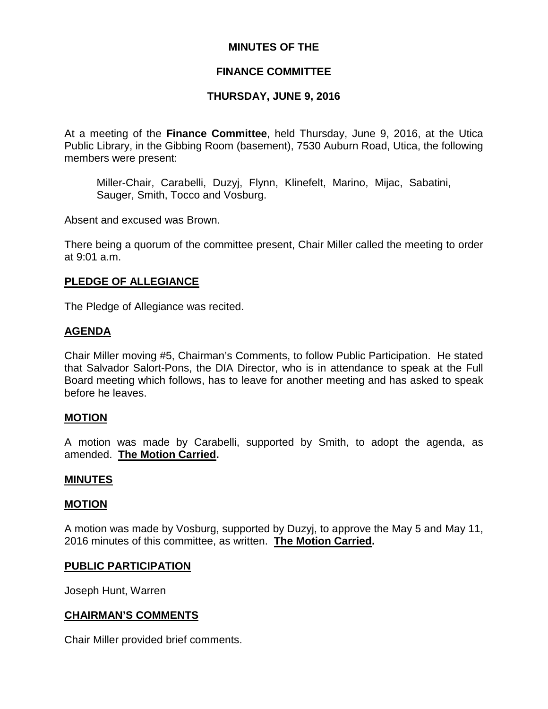### **MINUTES OF THE**

### **FINANCE COMMITTEE**

## **THURSDAY, JUNE 9, 2016**

At a meeting of the **Finance Committee**, held Thursday, June 9, 2016, at the Utica Public Library, in the Gibbing Room (basement), 7530 Auburn Road, Utica, the following members were present:

Miller-Chair, Carabelli, Duzyj, Flynn, Klinefelt, Marino, Mijac, Sabatini, Sauger, Smith, Tocco and Vosburg.

Absent and excused was Brown.

There being a quorum of the committee present, Chair Miller called the meeting to order at 9:01 a.m.

#### **PLEDGE OF ALLEGIANCE**

The Pledge of Allegiance was recited.

### **AGENDA**

Chair Miller moving #5, Chairman's Comments, to follow Public Participation. He stated that Salvador Salort-Pons, the DIA Director, who is in attendance to speak at the Full Board meeting which follows, has to leave for another meeting and has asked to speak before he leaves.

#### **MOTION**

A motion was made by Carabelli, supported by Smith, to adopt the agenda, as amended. **The Motion Carried.**

#### **MINUTES**

#### **MOTION**

A motion was made by Vosburg, supported by Duzyj, to approve the May 5 and May 11, 2016 minutes of this committee, as written. **The Motion Carried.**

#### **PUBLIC PARTICIPATION**

Joseph Hunt, Warren

#### **CHAIRMAN'S COMMENTS**

Chair Miller provided brief comments.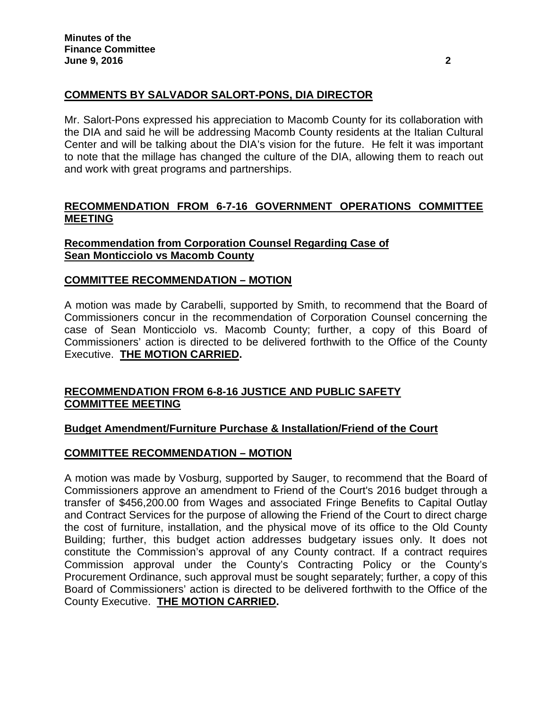# **COMMENTS BY SALVADOR SALORT-PONS, DIA DIRECTOR**

Mr. Salort-Pons expressed his appreciation to Macomb County for its collaboration with the DIA and said he will be addressing Macomb County residents at the Italian Cultural Center and will be talking about the DIA's vision for the future. He felt it was important to note that the millage has changed the culture of the DIA, allowing them to reach out and work with great programs and partnerships.

## **RECOMMENDATION FROM 6-7-16 GOVERNMENT OPERATIONS COMMITTEE MEETING**

## **Recommendation from Corporation Counsel Regarding Case of Sean Monticciolo vs Macomb County**

## **COMMITTEE RECOMMENDATION – MOTION**

A motion was made by Carabelli, supported by Smith, to recommend that the Board of Commissioners concur in the recommendation of Corporation Counsel concerning the case of Sean Monticciolo vs. Macomb County; further, a copy of this Board of Commissioners' action is directed to be delivered forthwith to the Office of the County Executive. **THE MOTION CARRIED.**

## **RECOMMENDATION FROM 6-8-16 JUSTICE AND PUBLIC SAFETY COMMITTEE MEETING**

## **Budget Amendment/Furniture Purchase & Installation/Friend of the Court**

## **COMMITTEE RECOMMENDATION – MOTION**

A motion was made by Vosburg, supported by Sauger, to recommend that the Board of Commissioners approve an amendment to Friend of the Court's 2016 budget through a transfer of \$456,200.00 from Wages and associated Fringe Benefits to Capital Outlay and Contract Services for the purpose of allowing the Friend of the Court to direct charge the cost of furniture, installation, and the physical move of its office to the Old County Building; further, this budget action addresses budgetary issues only. It does not constitute the Commission's approval of any County contract. If a contract requires Commission approval under the County's Contracting Policy or the County's Procurement Ordinance, such approval must be sought separately; further, a copy of this Board of Commissioners' action is directed to be delivered forthwith to the Office of the County Executive. **THE MOTION CARRIED.**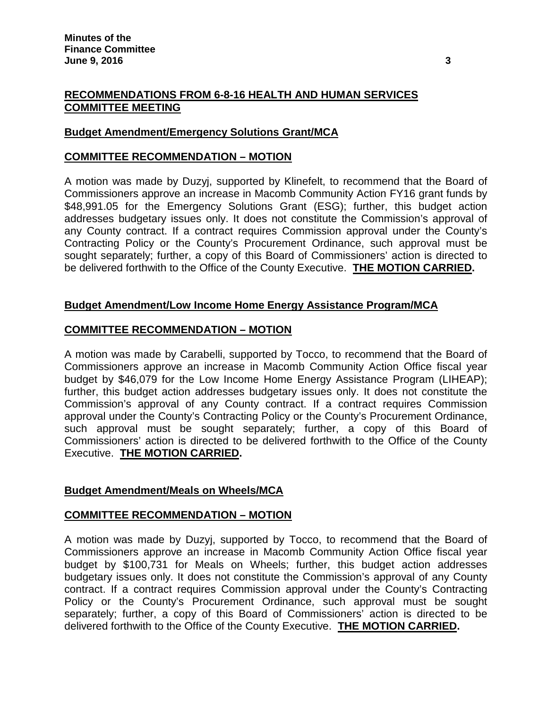## **RECOMMENDATIONS FROM 6-8-16 HEALTH AND HUMAN SERVICES COMMITTEE MEETING**

## **Budget Amendment/Emergency Solutions Grant/MCA**

#### **COMMITTEE RECOMMENDATION – MOTION**

A motion was made by Duzyj, supported by Klinefelt, to recommend that the Board of Commissioners approve an increase in Macomb Community Action FY16 grant funds by \$48,991.05 for the Emergency Solutions Grant (ESG); further, this budget action addresses budgetary issues only. It does not constitute the Commission's approval of any County contract. If a contract requires Commission approval under the County's Contracting Policy or the County's Procurement Ordinance, such approval must be sought separately; further, a copy of this Board of Commissioners' action is directed to be delivered forthwith to the Office of the County Executive. **THE MOTION CARRIED.**

## **Budget Amendment/Low Income Home Energy Assistance Program/MCA**

### **COMMITTEE RECOMMENDATION – MOTION**

A motion was made by Carabelli, supported by Tocco, to recommend that the Board of Commissioners approve an increase in Macomb Community Action Office fiscal year budget by \$46,079 for the Low Income Home Energy Assistance Program (LIHEAP); further, this budget action addresses budgetary issues only. It does not constitute the Commission's approval of any County contract. If a contract requires Commission approval under the County's Contracting Policy or the County's Procurement Ordinance, such approval must be sought separately; further, a copy of this Board of Commissioners' action is directed to be delivered forthwith to the Office of the County Executive. **THE MOTION CARRIED.**

## **Budget Amendment/Meals on Wheels/MCA**

#### **COMMITTEE RECOMMENDATION – MOTION**

A motion was made by Duzyj, supported by Tocco, to recommend that the Board of Commissioners approve an increase in Macomb Community Action Office fiscal year budget by \$100,731 for Meals on Wheels; further, this budget action addresses budgetary issues only. It does not constitute the Commission's approval of any County contract. If a contract requires Commission approval under the County's Contracting Policy or the County's Procurement Ordinance, such approval must be sought separately; further, a copy of this Board of Commissioners' action is directed to be delivered forthwith to the Office of the County Executive. **THE MOTION CARRIED.**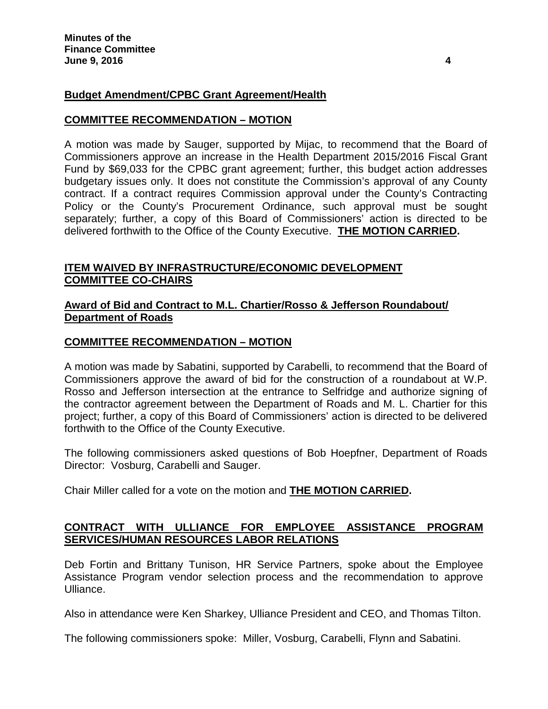## **Budget Amendment/CPBC Grant Agreement/Health**

### **COMMITTEE RECOMMENDATION – MOTION**

A motion was made by Sauger, supported by Mijac, to recommend that the Board of Commissioners approve an increase in the Health Department 2015/2016 Fiscal Grant Fund by \$69,033 for the CPBC grant agreement; further, this budget action addresses budgetary issues only. It does not constitute the Commission's approval of any County contract. If a contract requires Commission approval under the County's Contracting Policy or the County's Procurement Ordinance, such approval must be sought separately; further, a copy of this Board of Commissioners' action is directed to be delivered forthwith to the Office of the County Executive. **THE MOTION CARRIED.**

## **ITEM WAIVED BY INFRASTRUCTURE/ECONOMIC DEVELOPMENT COMMITTEE CO-CHAIRS**

### **Award of Bid and Contract to M.L. Chartier/Rosso & Jefferson Roundabout/ Department of Roads**

### **COMMITTEE RECOMMENDATION – MOTION**

A motion was made by Sabatini, supported by Carabelli, to recommend that the Board of Commissioners approve the award of bid for the construction of a roundabout at W.P. Rosso and Jefferson intersection at the entrance to Selfridge and authorize signing of the contractor agreement between the Department of Roads and M. L. Chartier for this project; further, a copy of this Board of Commissioners' action is directed to be delivered forthwith to the Office of the County Executive.

The following commissioners asked questions of Bob Hoepfner, Department of Roads Director: Vosburg, Carabelli and Sauger.

Chair Miller called for a vote on the motion and **THE MOTION CARRIED.**

## **CONTRACT WITH ULLIANCE FOR EMPLOYEE ASSISTANCE PROGRAM SERVICES/HUMAN RESOURCES LABOR RELATIONS**

Deb Fortin and Brittany Tunison, HR Service Partners, spoke about the Employee Assistance Program vendor selection process and the recommendation to approve Ulliance.

Also in attendance were Ken Sharkey, Ulliance President and CEO, and Thomas Tilton.

The following commissioners spoke: Miller, Vosburg, Carabelli, Flynn and Sabatini.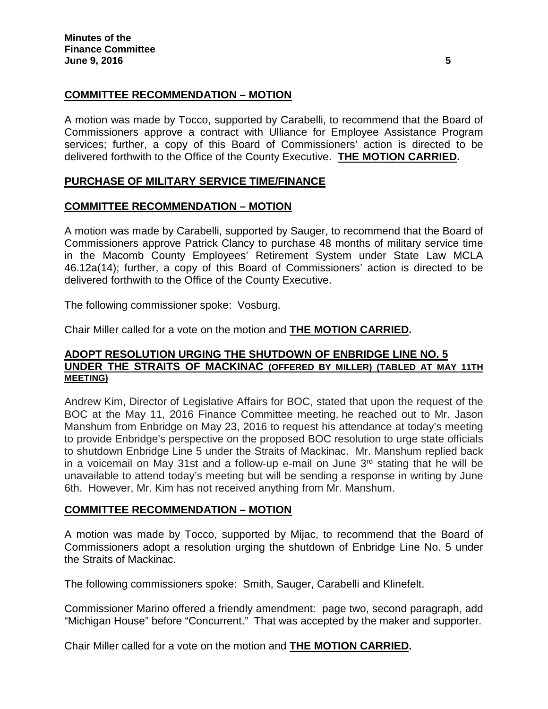## **COMMITTEE RECOMMENDATION – MOTION**

A motion was made by Tocco, supported by Carabelli, to recommend that the Board of Commissioners approve a contract with Ulliance for Employee Assistance Program services; further, a copy of this Board of Commissioners' action is directed to be delivered forthwith to the Office of the County Executive. **THE MOTION CARRIED.**

## **PURCHASE OF MILITARY SERVICE TIME/FINANCE**

## **COMMITTEE RECOMMENDATION – MOTION**

A motion was made by Carabelli, supported by Sauger, to recommend that the Board of Commissioners approve Patrick Clancy to purchase 48 months of military service time in the Macomb County Employees' Retirement System under State Law MCLA 46.12a(14); further, a copy of this Board of Commissioners' action is directed to be delivered forthwith to the Office of the County Executive.

The following commissioner spoke: Vosburg.

Chair Miller called for a vote on the motion and **THE MOTION CARRIED.**

### **ADOPT RESOLUTION URGING THE SHUTDOWN OF ENBRIDGE LINE NO. 5 UNDER THE STRAITS OF MACKINAC (OFFERED BY MILLER) (TABLED AT MAY 11TH MEETING)**

Andrew Kim, Director of Legislative Affairs for BOC, stated that upon the request of the BOC at the May 11, 2016 Finance Committee meeting, he reached out to Mr. Jason Manshum from Enbridge on May 23, 2016 to request his attendance at today's meeting to provide Enbridge's perspective on the proposed BOC resolution to urge state officials to shutdown Enbridge Line 5 under the Straits of Mackinac. Mr. Manshum replied back in a voicemail on May 31st and a follow-up e-mail on June  $3<sup>rd</sup>$  stating that he will be unavailable to attend today's meeting but will be sending a response in writing by June 6th. However, Mr. Kim has not received anything from Mr. Manshum.

## **COMMITTEE RECOMMENDATION – MOTION**

A motion was made by Tocco, supported by Mijac, to recommend that the Board of Commissioners adopt a resolution urging the shutdown of Enbridge Line No. 5 under the Straits of Mackinac.

The following commissioners spoke: Smith, Sauger, Carabelli and Klinefelt.

Commissioner Marino offered a friendly amendment: page two, second paragraph, add "Michigan House" before "Concurrent." That was accepted by the maker and supporter.

Chair Miller called for a vote on the motion and **THE MOTION CARRIED.**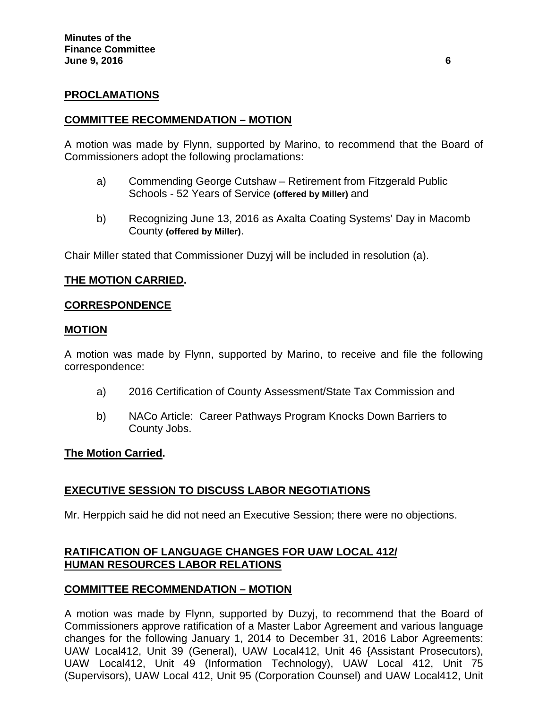### **PROCLAMATIONS**

### **COMMITTEE RECOMMENDATION – MOTION**

A motion was made by Flynn, supported by Marino, to recommend that the Board of Commissioners adopt the following proclamations:

- a) Commending George Cutshaw Retirement from Fitzgerald Public Schools - 52 Years of Service **(offered by Miller)** and
- b) Recognizing June 13, 2016 as Axalta Coating Systems' Day in Macomb County **(offered by Miller)**.

Chair Miller stated that Commissioner Duzyj will be included in resolution (a).

### **THE MOTION CARRIED.**

#### **CORRESPONDENCE**

#### **MOTION**

A motion was made by Flynn, supported by Marino, to receive and file the following correspondence:

- a) 2016 Certification of County Assessment/State Tax Commission and
- b) NACo Article: Career Pathways Program Knocks Down Barriers to County Jobs.

#### **The Motion Carried.**

#### **EXECUTIVE SESSION TO DISCUSS LABOR NEGOTIATIONS**

Mr. Herppich said he did not need an Executive Session; there were no objections.

### **RATIFICATION OF LANGUAGE CHANGES FOR UAW LOCAL 412/ HUMAN RESOURCES LABOR RELATIONS**

#### **COMMITTEE RECOMMENDATION – MOTION**

A motion was made by Flynn, supported by Duzyj, to recommend that the Board of Commissioners approve ratification of a Master Labor Agreement and various language changes for the following January 1, 2014 to December 31, 2016 Labor Agreements: UAW Local412, Unit 39 (General), UAW Local412, Unit 46 {Assistant Prosecutors), UAW Local412, Unit 49 (Information Technology), UAW Local 412, Unit 75 (Supervisors), UAW Local 412, Unit 95 (Corporation Counsel) and UAW Local412, Unit